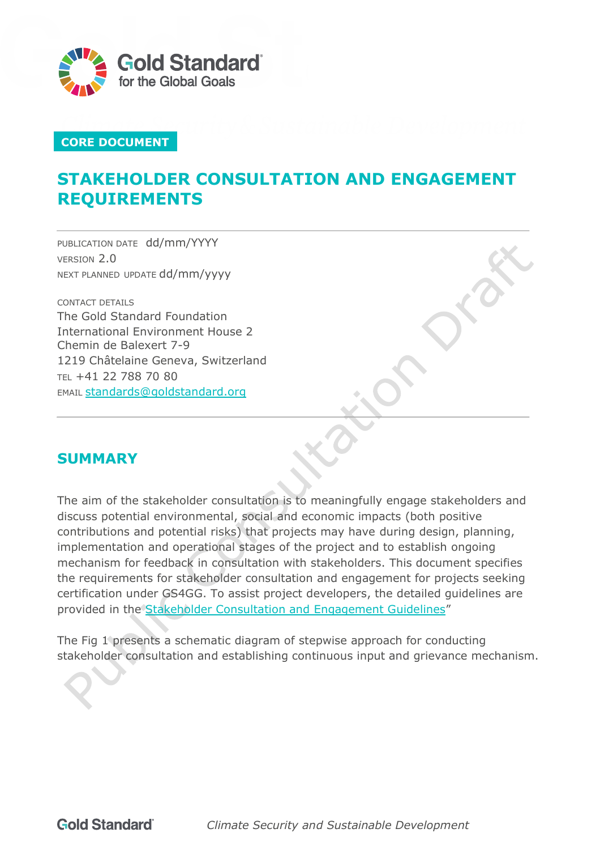

# **CORE DOCUMENT**

# **STAKEHOLDER CONSULTATION AND ENGAGEMENT REQUIREMENTS**

PUBLICATION DATE dd/mm/YYYY VERSION 2.0 NEXT PLANNED UPDATE dd/mm/yyyy

CONTACT DETAILS The Gold Standard Foundation International Environment House 2 Chemin de Balexert 7-9 1219 Châtelaine Geneva, Switzerland TEL +41 22 788 70 80 EMAIL [standards@goldstandard.org](mailto:standards@goldstandard.org)

# <span id="page-0-0"></span>**SUMMARY**

The aim of the stakeholder consultation is to meaningfully engage stakeholders and discuss potential environmental, social and economic impacts (both positive contributions and potential risks) that projects may have during design, planning, implementation and operational stages of the project and to establish ongoing mechanism for feedback in consultation with stakeholders. This document specifies the requirements for stakeholder consultation and engagement for projects seeking certification under GS4GG. To assist project developers, the detailed guidelines are provided in the [Stakeholder Consultation and Engagement Guidelines"](https://globalgoals.goldstandard.org/102g-par-stakeholder-consultation-requirements/)

The Fig 1 presents a schematic diagram of stepwise approach for conducting stakeholder consultation and establishing continuous input and grievance mechanism.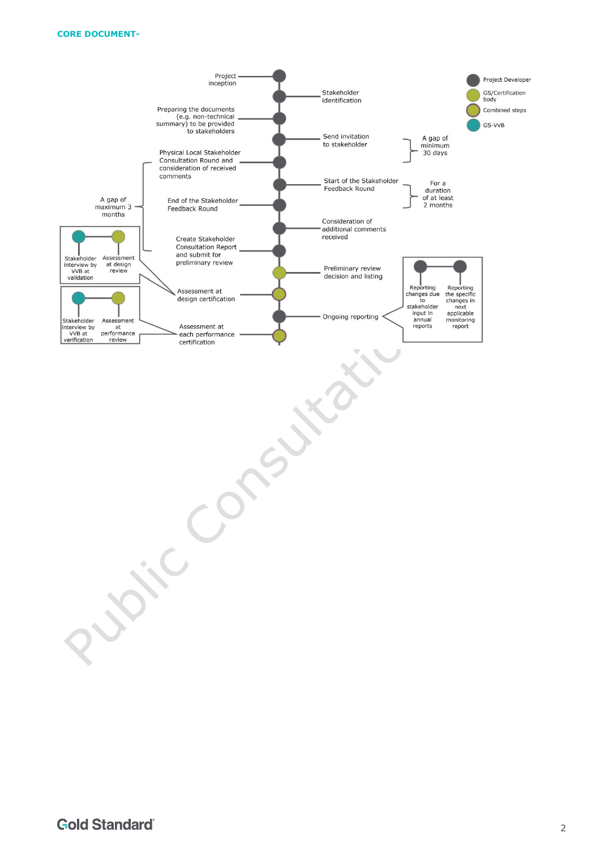#### **CORE DOCUMENT-**

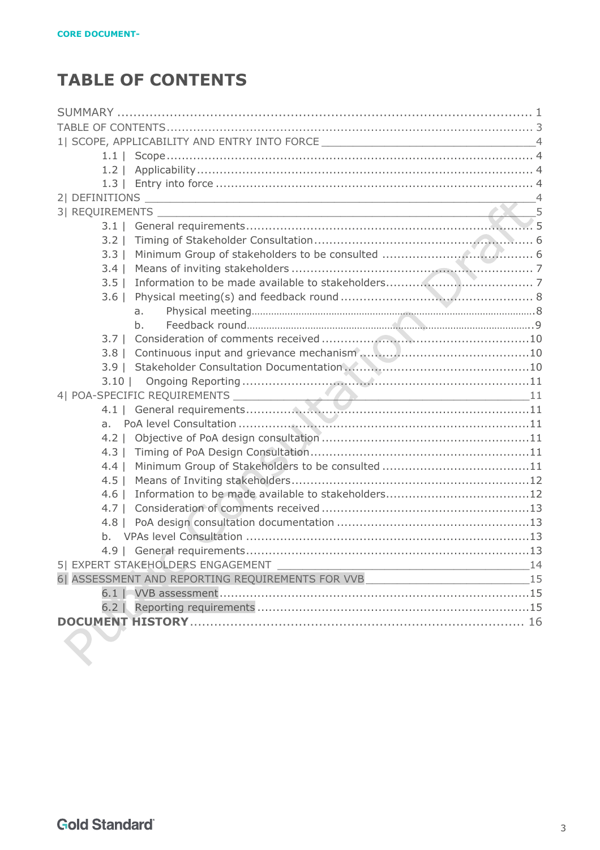# <span id="page-2-0"></span>**TABLE OF CONTENTS**

| 1  SCOPE, APPLICABILITY AND ENTRY INTO FORCE ___________________________________4 |    |
|-----------------------------------------------------------------------------------|----|
|                                                                                   |    |
|                                                                                   |    |
|                                                                                   |    |
|                                                                                   |    |
|                                                                                   |    |
|                                                                                   |    |
| $3.2 \perp$                                                                       |    |
| $3.3 \perp$                                                                       |    |
| $3.4 \mid$                                                                        |    |
| $3.5 \mid$                                                                        |    |
| $3.6 \mid$                                                                        |    |
| a.                                                                                |    |
| $h_{-}$                                                                           |    |
| $3.7 \perp$                                                                       |    |
|                                                                                   |    |
|                                                                                   |    |
|                                                                                   |    |
|                                                                                   |    |
|                                                                                   |    |
| a.                                                                                |    |
|                                                                                   |    |
| $4.3 \perp$                                                                       |    |
| $4.4 \mid$                                                                        |    |
| $4.5$                                                                             |    |
| $4.6 \mid$                                                                        |    |
| $4.7 \perp$                                                                       |    |
|                                                                                   |    |
| h.                                                                                |    |
|                                                                                   |    |
| 5  EXPERT STAKEHOLDERS ENGAGEMENT                                                 | 14 |
| 6  ASSESSMENT AND REPORTING REQUIREMENTS FOR VVB                                  | 15 |
|                                                                                   |    |
|                                                                                   |    |
|                                                                                   |    |
|                                                                                   |    |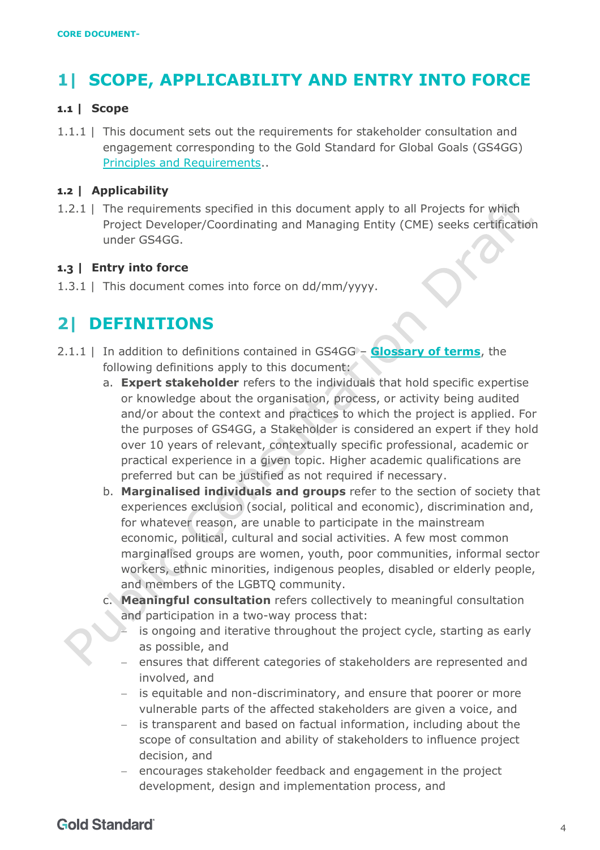# <span id="page-3-0"></span>**1| SCOPE, APPLICABILITY AND ENTRY INTO FORCE**

#### <span id="page-3-1"></span>**1.1 | Scope**

1.1.1 | This document sets out the requirements for stakeholder consultation and engagement corresponding to the Gold Standard for Global Goals (GS4GG) [Principles and Requirements.](https://globalgoals.goldstandard.org/standards/101_V1.2_PAR_Principles-Requirements.pdf).

#### <span id="page-3-2"></span>**1.2 | Applicability**

1.2.1 | The requirements specified in this document apply to all Projects for which Project Developer/Coordinating and Managing Entity (CME) seeks certification under GS4GG.

#### <span id="page-3-3"></span>**1.3 | Entry into force**

1.3.1 | This document comes into force on dd/mm/yyyy.

# <span id="page-3-4"></span>**2| DEFINITIONS**

- 2.1.1 | In addition to definitions contained in GS4GG **[Glossary of terms](https://www.goldstandard.org/project-developers/standard-documents)**, the following definitions apply to this document:
	- a. **Expert stakeholder** refers to the individuals that hold specific expertise or knowledge about the organisation, process, or activity being audited and/or about the context and practices to which the project is applied. For the purposes of GS4GG, a Stakeholder is considered an expert if they hold over 10 years of relevant, contextually specific professional, academic or practical experience in a given topic. Higher academic qualifications are preferred but can be justified as not required if necessary.
	- b. **Marginalised individuals and groups** refer to the section of society that experiences exclusion (social, political and economic), discrimination and, for whatever reason, are unable to participate in the mainstream economic, political, cultural and social activities. A few most common marginalised groups are women, youth, poor communities, informal sector workers, ethnic minorities, indigenous peoples, disabled or elderly people, and members of the LGBTQ community.
	- c. **Meaningful consultation** refers collectively to meaningful consultation and participation in a two-way process that:
		- is ongoing and iterative throughout the project cycle, starting as early as possible, and
		- ensures that different categories of stakeholders are represented and involved, and
		- − is equitable and non-discriminatory, and ensure that poorer or more vulnerable parts of the affected stakeholders are given a voice, and
		- − is transparent and based on factual information, including about the scope of consultation and ability of stakeholders to influence project decision, and
		- − encourages stakeholder feedback and engagement in the project development, design and implementation process, and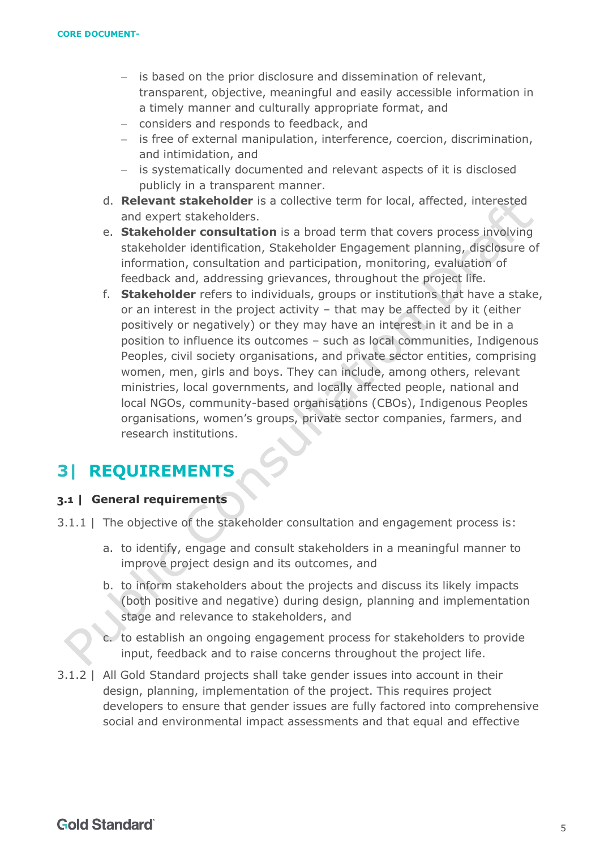- − is based on the prior disclosure and dissemination of relevant, transparent, objective, meaningful and easily accessible information in a timely manner and culturally appropriate format, and
- − considers and responds to feedback, and
- − is free of external manipulation, interference, coercion, discrimination, and intimidation, and
- − is systematically documented and relevant aspects of it is disclosed publicly in a transparent manner.
- d. **Relevant stakeholder** is a collective term for local, affected, interested and expert stakeholders.
- e. **Stakeholder consultation** is a broad term that covers process involving stakeholder identification, Stakeholder Engagement planning, disclosure of information, consultation and participation, monitoring, evaluation of feedback and, addressing grievances, throughout the project life.
- f. **Stakeholder** refers to individuals, groups or institutions that have a stake, or an interest in the project activity – that may be affected by it (either positively or negatively) or they may have an interest in it and be in a position to influence its outcomes – such as local communities, Indigenous Peoples, civil society organisations, and private sector entities, comprising women, men, girls and boys. They can include, among others, relevant ministries, local governments, and locally affected people, national and local NGOs, community-based organisations (CBOs), Indigenous Peoples organisations, women's groups, private sector companies, farmers, and research institutions.

# <span id="page-4-0"></span>**3| REQUIREMENTS**

#### <span id="page-4-1"></span>**3.1 | General requirements**

- 3.1.1 | The objective of the stakeholder consultation and engagement process is:
	- a. to identify, engage and consult stakeholders in a meaningful manner to improve project design and its outcomes, and
	- b. to inform stakeholders about the projects and discuss its likely impacts (both positive and negative) during design, planning and implementation stage and relevance to stakeholders, and

c. to establish an ongoing engagement process for stakeholders to provide input, feedback and to raise concerns throughout the project life.

3.1.2 | All Gold Standard projects shall take gender issues into account in their design, planning, implementation of the project. This requires project developers to ensure that gender issues are fully factored into comprehensive social and environmental impact assessments and that equal and effective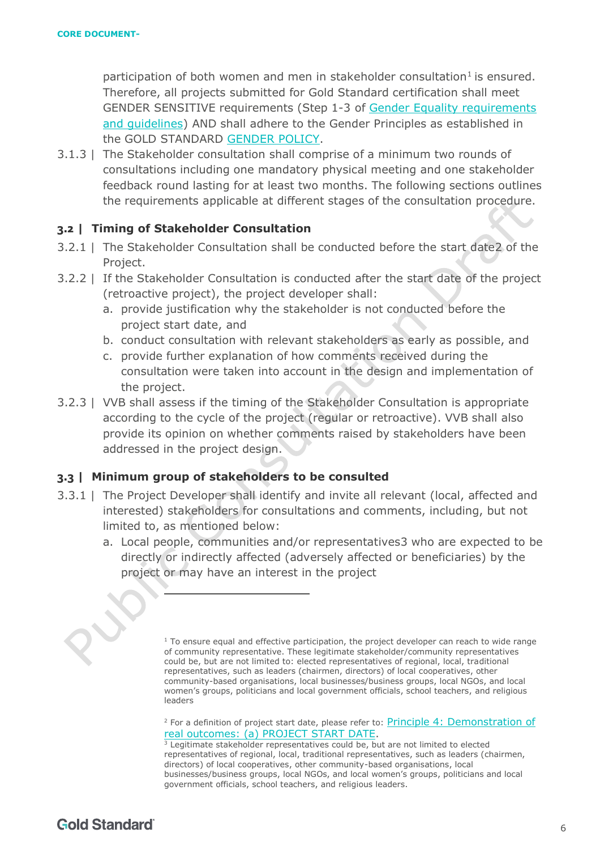participation of both women and men in stakeholder consultation<sup>1</sup> is ensured. Therefore, all projects submitted for Gold Standard certification shall meet GENDER SENSITIVE requirements (Step 1-3 of [Gender Equality requirements](https://globalgoals.goldstandard.org/standards/104_V1.1_PAR_Gender-Equality-Requirements-Guidelines.pdf) [and guidelines\)](https://globalgoals.goldstandard.org/standards/104_V1.1_PAR_Gender-Equality-Requirements-Guidelines.pdf) AND shall adhere to the Gender Principles as established in the GOLD STANDARD [GENDER POLICY.](https://globalgoals.goldstandard.org/000-6-gov-gender-policy/)

3.1.3 | The Stakeholder consultation shall comprise of a minimum two rounds of consultations including one mandatory physical meeting and one stakeholder feedback round lasting for at least two months. The following sections outlines the requirements applicable at different stages of the consultation procedure.

#### <span id="page-5-0"></span>**3.2 | Timing of Stakeholder Consultation**

- 3.2.1 | The Stakeholder Consultation shall be conducted before the start date2 of the Project.
- 3.2.2 | If the Stakeholder Consultation is conducted after the start date of the project (retroactive project), the project developer shall:
	- a. provide justification why the stakeholder is not conducted before the project start date, and
	- b. conduct consultation with relevant stakeholders as early as possible, and
	- c. provide further explanation of how comments received during the consultation were taken into account in the design and implementation of the project.
- 3.2.3 | VVB shall assess if the timing of the Stakeholder Consultation is appropriate according to the cycle of the project (regular or retroactive). VVB shall also provide its opinion on whether comments raised by stakeholders have been addressed in the project design.

#### <span id="page-5-1"></span>**3.3 | Minimum group of stakeholders to be consulted**

- <span id="page-5-2"></span>3.3.1 | The Project Developer shall identify and invite all relevant (local, affected and interested) stakeholders for consultations and comments, including, but not limited to, as mentioned below:
	- a. Local people, communities and/or representatives3 who are expected to be directly or indirectly affected (adversely affected or beneficiaries) by the project or may have an interest in the project



 $1$  To ensure equal and effective participation, the project developer can reach to wide range of community representative. These legitimate stakeholder/community representatives could be, but are not limited to: elected representatives of regional, local, traditional representatives, such as leaders (chairmen, directors) of local cooperatives, other community-based organisations, local businesses/business groups, local NGOs, and local women's groups, politicians and local government officials, school teachers, and religious leaders

<sup>&</sup>lt;sup>2</sup> For a definition of project start date, please refer to: Principle 4: Demonstration of [real outcomes: \(a\) PROJECT START DATE.](https://globalgoals.goldstandard.org/101-par-principles-requirements/)

 $3$  Legitimate stakeholder representatives could be, but are not limited to elected representatives of regional, local, traditional representatives, such as leaders (chairmen, directors) of local cooperatives, other community-based organisations, local businesses/business groups, local NGOs, and local women's groups, politicians and local government officials, school teachers, and religious leaders.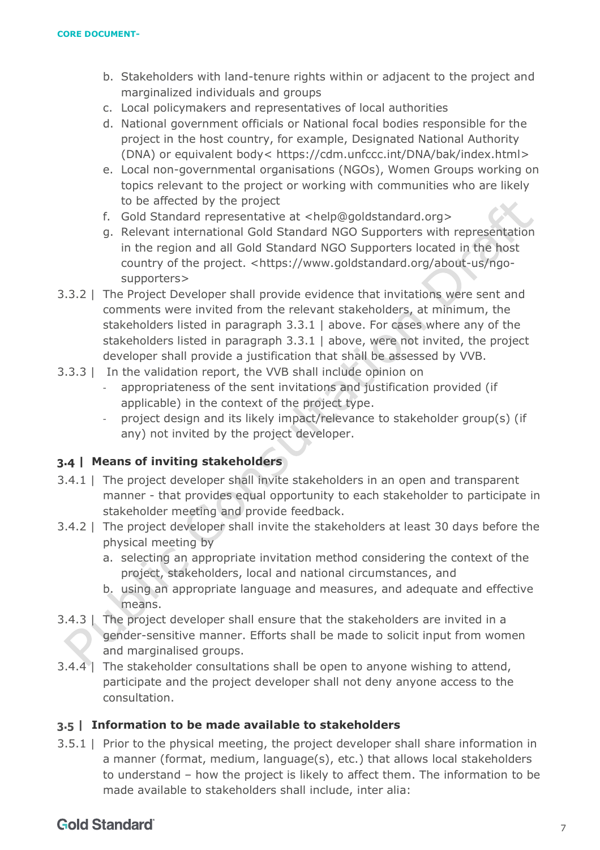- b. Stakeholders with land-tenure rights within or adjacent to the project and marginalized individuals and groups
- c. Local policymakers and representatives of local authorities
- d. National government officials or National focal bodies responsible for the project in the host country, for example, Designated National Authority (DNA) or equivalent body< [https://cdm.unfccc.int/DNA/bak/index.html>](https://cdm.unfccc.int/DNA/bak/index.html)
- e. Local non-governmental organisations (NGOs), Women Groups working on topics relevant to the project or working with communities who are likely to be affected by the project
- f. Gold Standard representative at [<help@goldstandard.org>](mailto:help@goldstandard.org)
- g. Relevant international Gold Standard NGO Supporters with representation in the region and all Gold Standard NGO Supporters located in the host country of the project. [<https://www.goldstandard.org/about-us/ngo](https://www.goldstandard.org/about-us/ngo-supporters)[supporters>](https://www.goldstandard.org/about-us/ngo-supporters)
- 3.3.2 | The Project Developer shall provide evidence that invitations were sent and comments were invited from the relevant stakeholders, at minimum, the stakeholders listed in paragraph [3.3.1 | above.](#page-5-2) For cases where any of the stakeholders listed in paragraph [3.3.1 | above,](#page-5-2) were not invited, the project developer shall provide a justification that shall be assessed by VVB.
- 3.3.3 | In the validation report, the VVB shall include opinion on
	- appropriateness of the sent invitations and justification provided (if applicable) in the context of the project type.
	- project design and its likely impact/relevance to stakeholder group(s) (if any) not invited by the project developer.

### <span id="page-6-0"></span>**3.4 | Means of inviting stakeholders**

- 3.4.1 | The project developer shall invite stakeholders in an open and transparent manner - that provides equal opportunity to each stakeholder to participate in stakeholder meeting and provide feedback.
- 3.4.2 | The project developer shall invite the stakeholders at least 30 days before the physical meeting by
	- a. selecting an appropriate invitation method considering the context of the project, stakeholders, local and national circumstances, and
	- b. using an appropriate language and measures, and adequate and effective means.
- 3.4.3 | The project developer shall ensure that the stakeholders are invited in a gender-sensitive manner. Efforts shall be made to solicit input from women and marginalised groups.
- 3.4.4 | The stakeholder consultations shall be open to anyone wishing to attend, participate and the project developer shall not deny anyone access to the consultation.

#### <span id="page-6-1"></span>**3.5 | Information to be made available to stakeholders**

3.5.1 | Prior to the physical meeting, the project developer shall share information in a manner (format, medium, language(s), etc.) that allows local stakeholders to understand – how the project is likely to affect them. The information to be made available to stakeholders shall include, inter alia: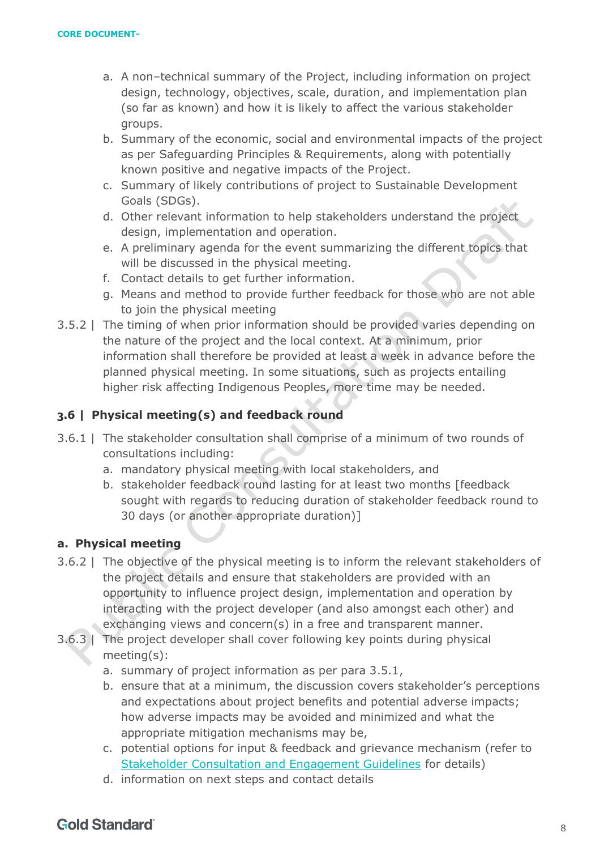- a. A non–technical summary of the Project, including information on project design, technology, objectives, scale, duration, and implementation plan (so far as known) and how it is likely to affect the various stakeholder groups.
- b. Summary of the economic, social and environmental impacts of the project as per [Safeguarding Principles & Requirements,](https://globalgoals.goldstandard.org/103-par-safeguarding-principles-requirements/) along with potentially known positive and negative impacts of the Project.
- c. Summary of likely contributions of project to Sustainable Development Goals (SDGs).
- d. Other relevant information to help stakeholders understand the project design, implementation and operation.
- e. A preliminary agenda for the event summarizing the different topics that will be discussed in the physical meeting.
- f. Contact details to get further information.
- g. Means and method to provide further feedback for those who are not able to join the physical meeting
- 3.5.2 | The timing of when prior information should be provided varies depending on the nature of the project and the local context. At a minimum, prior information shall therefore be provided at least a week in advance before the planned physical meeting. In some situations, such as projects entailing higher risk affecting Indigenous Peoples, more time may be needed.

## <span id="page-7-0"></span>**3.6 | Physical meeting(s) and feedback round**

- 3.6.1 | The stakeholder consultation shall comprise of a minimum of two rounds of consultations including:
	- a. mandatory physical meeting with local stakeholders, and
	- b. stakeholder feedback round lasting for at least two months [feedback sought with regards to reducing duration of stakeholder feedback round to 30 days (or another appropriate duration)]

### <span id="page-7-1"></span>**a. Physical meeting**

- 3.6.2 | The objective of the physical meeting is to inform the relevant stakeholders of the project details and ensure that stakeholders are provided with an opportunity to influence project design, implementation and operation by interacting with the project developer (and also amongst each other) and exchanging views and concern(s) in a free and transparent manner.
- 3.6.3 | The project developer shall cover following key points during physical meeting(s):
	- a. summary of project information as per para 3.5.1,
	- b. ensure that at a minimum, the discussion covers stakeholder's perceptions and expectations about project benefits and potential adverse impacts; how adverse impacts may be avoided and minimized and what the appropriate mitigation mechanisms may be,
	- c. potential options for input & feedback and grievance mechanism (refer to [Stakeholder Consultation and Engagement Guidelines](https://globalgoals.goldstandard.org/102g-par-stakeholder-consultation-requirements/) for details)
	- d. information on next steps and contact details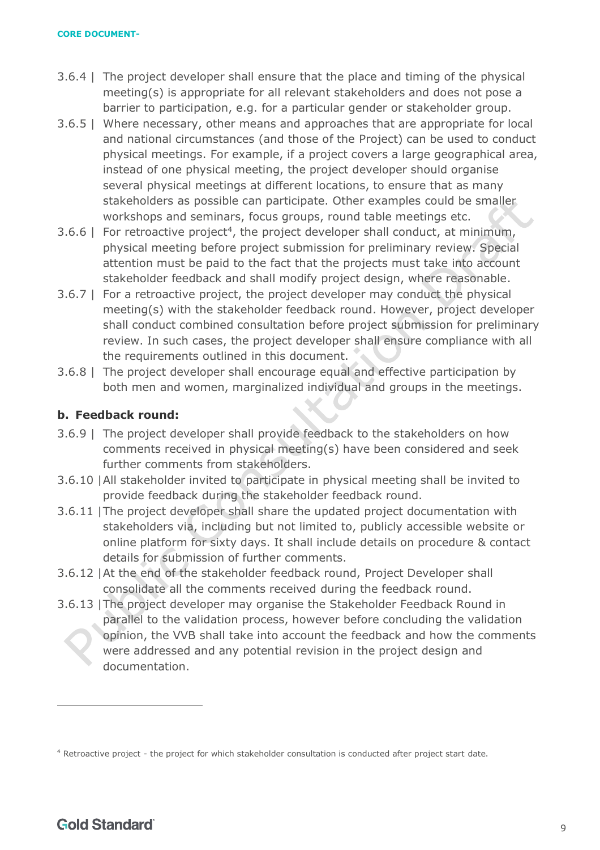- 3.6.4 | The project developer shall ensure that the place and timing of the physical meeting(s) is appropriate for all relevant stakeholders and does not pose a barrier to participation, e.g. for a particular gender or stakeholder group.
- 3.6.5 | Where necessary, other means and approaches that are appropriate for local and national circumstances (and those of the Project) can be used to conduct physical meetings. For example, if a project covers a large geographical area, instead of one physical meeting, the project developer should organise several physical meetings at different locations, to ensure that as many stakeholders as possible can participate. Other examples could be smaller workshops and seminars, focus groups, round table meetings etc.
- 3.6.6 | For retroactive project<sup>4</sup>, the project developer shall conduct, at minimum, physical meeting before project submission for preliminary review. Special attention must be paid to the fact that the projects must take into account stakeholder feedback and shall modify project design, where reasonable.
- 3.6.7 | For a retroactive project, the project developer may conduct the physical meeting(s) with the stakeholder feedback round. However, project developer shall conduct combined consultation before project submission for preliminary review. In such cases, the project developer shall ensure compliance with all the requirements outlined in this document.
- 3.6.8 | The project developer shall encourage equal and effective participation by both men and women, marginalized individual and groups in the meetings.

# <span id="page-8-0"></span>**b. Feedback round:**

- 3.6.9 | The project developer shall provide feedback to the stakeholders on how comments received in physical meeting(s) have been considered and seek further comments from stakeholders.
- 3.6.10 |All stakeholder invited to participate in physical meeting shall be invited to provide feedback during the stakeholder feedback round.
- 3.6.11 |The project developer shall share the updated project documentation with stakeholders via, including but not limited to, publicly accessible website or online platform for sixty days. It shall include details on procedure & contact details for submission of further comments.
- 3.6.12 |At the end of the stakeholder feedback round, Project Developer shall consolidate all the comments received during the feedback round.
- 3.6.13 |The project developer may organise the Stakeholder Feedback Round in parallel to the validation process, however before concluding the validation opinion, the VVB shall take into account the feedback and how the comments were addressed and any potential revision in the project design and documentation.

<sup>4</sup> Retroactive project - the project for which stakeholder consultation is conducted after project start date.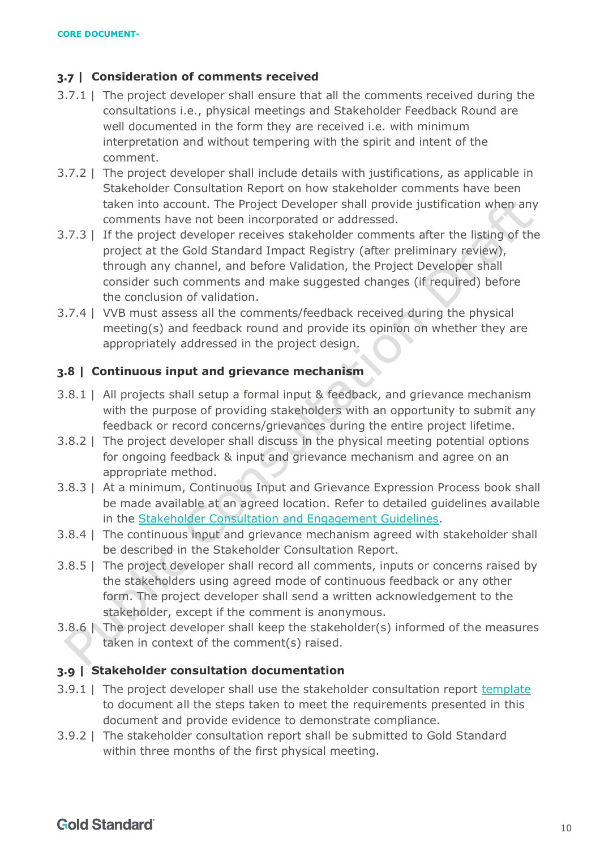## <span id="page-9-0"></span>**3.7 | Consideration of comments received**

- 3.7.1 | The project developer shall ensure that all the comments received during the consultations i.e., physical meetings and Stakeholder Feedback Round are well documented in the form they are received i.e. with minimum interpretation and without tempering with the spirit and intent of the comment.
- 3.7.2 | The project developer shall include details with justifications, as applicable in Stakeholder Consultation Report on how stakeholder comments have been taken into account. The Project Developer shall provide justification when any comments have not been incorporated or addressed.
- 3.7.3 | If the project developer receives stakeholder comments after the listing of the project at the Gold Standard Impact Registry (after preliminary review), through any channel, and before Validation, the Project Developer shall consider such comments and make suggested changes (if required) before the conclusion of validation.
- 3.7.4 | VVB must assess all the comments/feedback received during the physical meeting(s) and feedback round and provide its opinion on whether they are appropriately addressed in the project design.

## <span id="page-9-1"></span>**3.8 | Continuous input and grievance mechanism**

- 3.8.1 | All projects shall setup a formal input & feedback, and grievance mechanism with the purpose of providing stakeholders with an opportunity to submit any feedback or record concerns/grievances during the entire project lifetime.
- 3.8.2 | The project developer shall discuss in the physical meeting potential options for ongoing feedback & input and grievance mechanism and agree on an appropriate method.
- 3.8.3 | At a minimum, Continuous Input and Grievance Expression Process book shall be made available at an agreed location. Refer to detailed guidelines available in the [Stakeholder Consultation and Engagement Guidelines.](https://globalgoals.goldstandard.org/102g-par-stakeholder-consultation-requirements/)
- 3.8.4 | The continuous input and grievance mechanism agreed with stakeholder shall be described in the Stakeholder Consultation Report.
- 3.8.5 | The project developer shall record all comments, inputs or concerns raised by the stakeholders using agreed mode of continuous feedback or any other form. The project developer shall send a written acknowledgement to the stakeholder, except if the comment is anonymous.
- 3.8.6 | The project developer shall keep the stakeholder(s) informed of the measures taken in context of the comment(s) raised.

## <span id="page-9-2"></span>**3.9 | Stakeholder consultation documentation**

- 3.9.1 | The project developer shall use the stakeholder consultation report [template](https://globalgoals.goldstandard.org/stakeholder-consultation-report/) to document all the steps taken to meet the requirements presented in this document and provide evidence to demonstrate compliance.
- 3.9.2 | The stakeholder consultation report shall be submitted to Gold Standard within three months of the first physical meeting.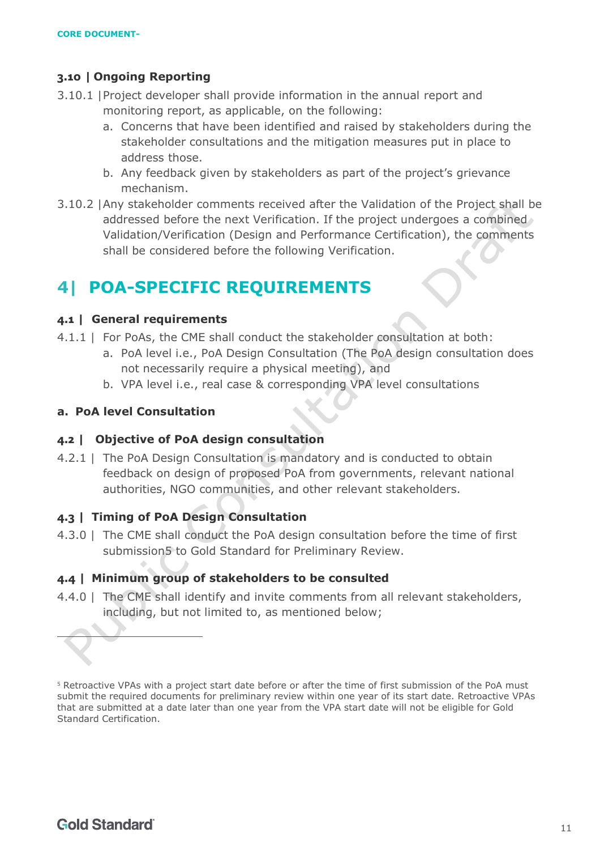### <span id="page-10-0"></span>**3.10 | Ongoing Reporting**

- 3.10.1 |Project developer shall provide information in the annual report and monitoring report, as applicable, on the following:
	- a. Concerns that have been identified and raised by stakeholders during the stakeholder consultations and the mitigation measures put in place to address those.
	- b. Any feedback given by stakeholders as part of the project's grievance mechanism.
- 3.10.2 |Any stakeholder comments received after the Validation of the Project shall be addressed before the next Verification. If the project undergoes a combined Validation/Verification (Design and Performance Certification), the comments shall be considered before the following Verification.

# <span id="page-10-1"></span>**4| POA-SPECIFIC REQUIREMENTS**

#### <span id="page-10-2"></span>**4.1 | General requirements**

- 4.1.1 | For PoAs, the CME shall conduct the stakeholder consultation at both:
	- a. PoA level i.e., PoA Design Consultation (The PoA design consultation does not necessarily require a physical meeting), and
	- b. VPA level i.e., real case & corresponding VPA level consultations

#### <span id="page-10-3"></span>**a. PoA level Consultation**

#### <span id="page-10-4"></span>**4.2 | Objective of PoA design consultation**

4.2.1 | The PoA Design Consultation is mandatory and is conducted to obtain feedback on design of proposed PoA from governments, relevant national authorities, NGO communities, and other relevant stakeholders.

#### <span id="page-10-5"></span>**4.3 | Timing of PoA Design Consultation**

4.3.0 | The CME shall conduct the PoA design consultation before the time of first submission5 to Gold Standard for Preliminary Review.

#### <span id="page-10-6"></span>**4.4 | Minimum group of stakeholders to be consulted**

4.4.0 | The CME shall identify and invite comments from all relevant stakeholders, including, but not limited to, as mentioned below;

<sup>5</sup> Retroactive VPAs with a project start date before or after the time of first submission of the PoA must submit the required documents for preliminary review within one year of its start date. Retroactive VPAs that are submitted at a date later than one year from the VPA start date will not be eligible for Gold Standard Certification.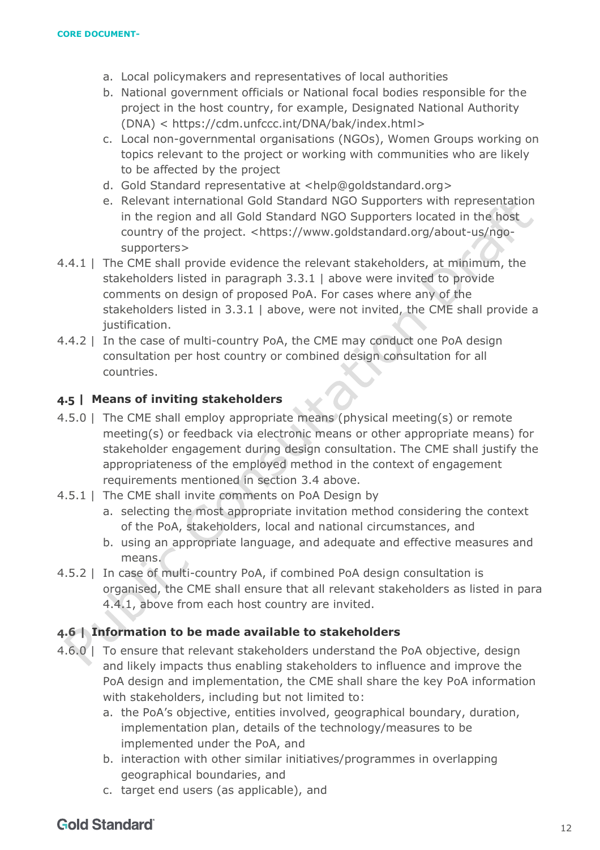- a. Local policymakers and representatives of local authorities
- b. National government officials or National focal bodies responsible for the project in the host country, for example, Designated National Authority (DNA) < [https://cdm.unfccc.int/DNA/bak/index.html>](https://cdm.unfccc.int/DNA/bak/index.html)
- c. Local non-governmental organisations (NGOs), Women Groups working on topics relevant to the project or working with communities who are likely to be affected by the project
- d. Gold Standard representative at [<help@goldstandard.org>](mailto:help@goldstandard.org)
- e. Relevant international Gold Standard NGO Supporters with representation in the region and all Gold Standard NGO Supporters located in the host country of the project. [<https://www.goldstandard.org/about-us/ngo](https://www.goldstandard.org/about-us/ngo-supporters)[supporters>](https://www.goldstandard.org/about-us/ngo-supporters)
- 4.4.1 | The CME shall provide evidence the relevant stakeholders, at minimum, the stakeholders listed in paragraph [3.3.1 | above](#page-5-2) were invited to provide comments on design of proposed PoA. For cases where any of the stakeholders listed in [3.3.1 | above,](#page-5-2) were not invited, the CME shall provide a justification.
- 4.4.2 | In the case of multi-country PoA, the CME may conduct one PoA design consultation per host country or combined design consultation for all countries.

### <span id="page-11-0"></span>**4.5 | Means of inviting stakeholders**

- 4.5.0 | The CME shall employ appropriate means (physical meeting(s) or remote meeting(s) or feedback via electronic means or other appropriate means) for stakeholder engagement during design consultation. The CME shall justify the appropriateness of the employed method in the context of engagement requirements mentioned in section 3.4 above.
- 4.5.1 | The CME shall invite comments on PoA Design by
	- a. selecting the most appropriate invitation method considering the context of the PoA, stakeholders, local and national circumstances, and
	- b. using an appropriate language, and adequate and effective measures and means.
- 4.5.2 | In case of multi-country PoA, if combined PoA design consultation is organised, the CME shall ensure that all relevant stakeholders as listed in para 4.4.1, above from each host country are invited.

### <span id="page-11-1"></span>**4.6 | Information to be made available to stakeholders**

- 4.6.0 | To ensure that relevant stakeholders understand the PoA objective, design and likely impacts thus enabling stakeholders to influence and improve the PoA design and implementation, the CME shall share the key PoA information with stakeholders, including but not limited to:
	- a. the PoA's objective, entities involved, geographical boundary, duration, implementation plan, details of the technology/measures to be implemented under the PoA, and
	- b. interaction with other similar initiatives/programmes in overlapping geographical boundaries, and
	- c. target end users (as applicable), and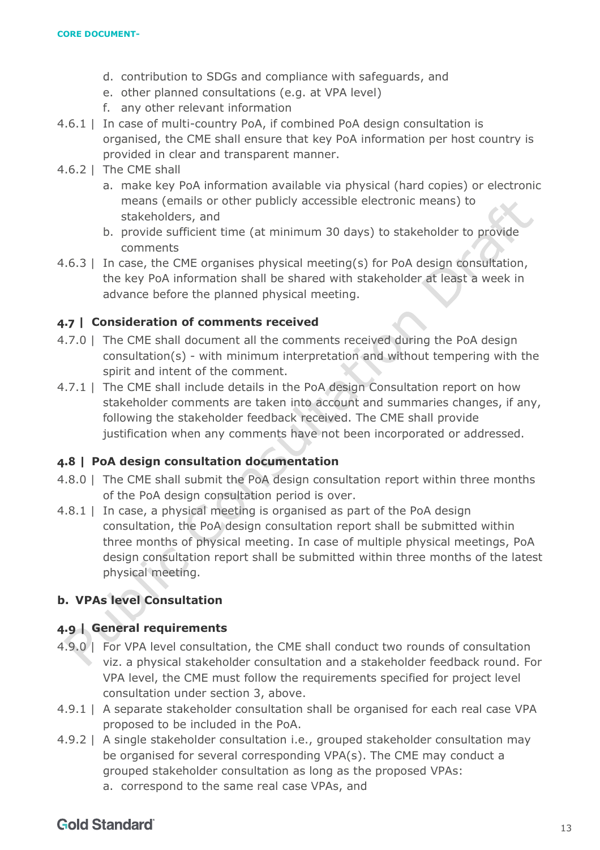- d. contribution to SDGs and compliance with safeguards, and
- e. other planned consultations (e.g. at VPA level)
- f. any other relevant information
- 4.6.1 | In case of multi-country PoA, if combined PoA design consultation is organised, the CME shall ensure that key PoA information per host country is provided in clear and transparent manner.
- 4.6.2 | The CME shall
	- a. make key PoA information available via physical (hard copies) or electronic means (emails or other publicly accessible electronic means) to stakeholders, and
	- b. provide sufficient time (at minimum 30 days) to stakeholder to provide comments
- $4.6.3$  | In case, the CME organises physical meeting(s) for PoA design consultation, the key PoA information shall be shared with stakeholder at least a week in advance before the planned physical meeting.

## <span id="page-12-0"></span>**4.7 | Consideration of comments received**

- 4.7.0 | The CME shall document all the comments received during the PoA design consultation(s) - with minimum interpretation and without tempering with the spirit and intent of the comment.
- 4.7.1 | The CME shall include details in the PoA design Consultation report on how stakeholder comments are taken into account and summaries changes, if any, following the stakeholder feedback received. The CME shall provide justification when any comments have not been incorporated or addressed.

## <span id="page-12-1"></span>**4.8 | PoA design consultation documentation**

- 4.8.0 | The CME shall submit the PoA design consultation report within three months of the PoA design consultation period is over.
- 4.8.1 | In case, a physical meeting is organised as part of the PoA design consultation, the PoA design consultation report shall be submitted within three months of physical meeting. In case of multiple physical meetings, PoA design consultation report shall be submitted within three months of the latest physical meeting.

## <span id="page-12-2"></span>**b. VPAs level Consultation**

## <span id="page-12-3"></span>**4.9 | General requirements**

- 4.9.0 | For VPA level consultation, the CME shall conduct two rounds of consultation viz. a physical stakeholder consultation and a stakeholder feedback round. For VPA level, the CME must follow the requirements specified for project level consultation under section 3, above.
- 4.9.1 | A separate stakeholder consultation shall be organised for each real case VPA proposed to be included in the PoA.
- 4.9.2 | A single stakeholder consultation i.e., grouped stakeholder consultation may be organised for several corresponding VPA(s). The CME may conduct a grouped stakeholder consultation as long as the proposed VPAs:
	- a. correspond to the same real case VPAs, and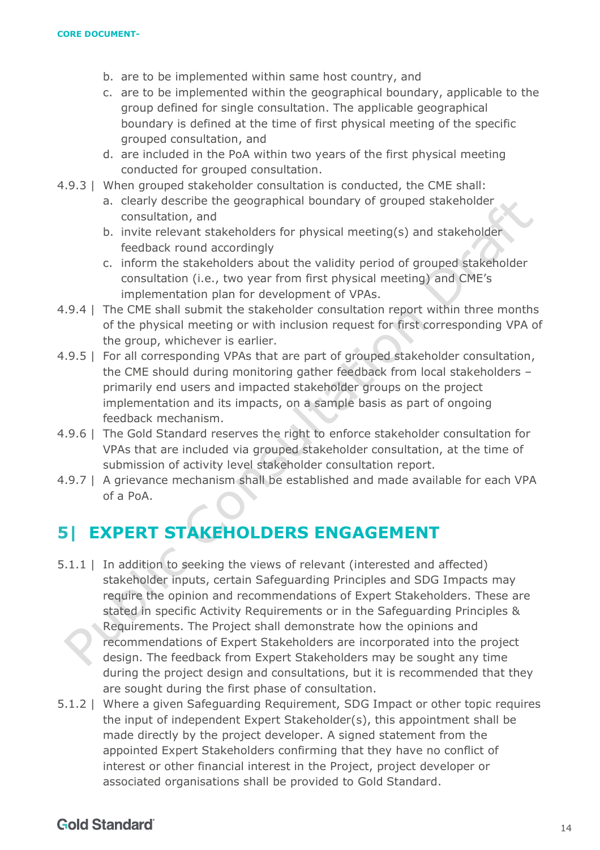- b. are to be implemented within same host country, and
- c. are to be implemented within the geographical boundary, applicable to the group defined for single consultation. The applicable geographical boundary is defined at the time of first physical meeting of the specific grouped consultation, and
- d. are included in the PoA within two years of the first physical meeting conducted for grouped consultation.
- 4.9.3 | When grouped stakeholder consultation is conducted, the CME shall:
	- a. clearly describe the geographical boundary of grouped stakeholder consultation, and
	- b. invite relevant stakeholders for physical meeting(s) and stakeholder feedback round accordingly
	- c. inform the stakeholders about the validity period of grouped stakeholder consultation (i.e., two year from first physical meeting) and CME's implementation plan for development of VPAs.
- 4.9.4 | The CME shall submit the stakeholder consultation report within three months of the physical meeting or with inclusion request for first corresponding VPA of the group, whichever is earlier.
- 4.9.5 | For all corresponding VPAs that are part of grouped stakeholder consultation, the CME should during monitoring gather feedback from local stakeholders – primarily end users and impacted stakeholder groups on the project implementation and its impacts, on a sample basis as part of ongoing feedback mechanism.
- 4.9.6 | The Gold Standard reserves the right to enforce stakeholder consultation for VPAs that are included via grouped stakeholder consultation, at the time of submission of activity level stakeholder consultation report.
- 4.9.7 | A grievance mechanism shall be established and made available for each VPA of a PoA.

# <span id="page-13-0"></span>**5| EXPERT STAKEHOLDERS ENGAGEMENT**

- 5.1.1 | In addition to seeking the views of relevant (interested and affected) stakeholder inputs, certain Safeguarding Principles and SDG Impacts may require the opinion and recommendations of Expert Stakeholders. These are stated in specific Activity Requirements or in the Safeguarding Principles & Requirements. The Project shall demonstrate how the opinions and recommendations of Expert Stakeholders are incorporated into the project design. The feedback from Expert Stakeholders may be sought any time during the project design and consultations, but it is recommended that they are sought during the first phase of consultation.
- 5.1.2 | Where a given Safeguarding Requirement, SDG Impact or other topic requires the input of independent Expert Stakeholder(s), this appointment shall be made directly by the project developer. A signed statement from the appointed Expert Stakeholders confirming that they have no conflict of interest or other financial interest in the Project, project developer or associated organisations shall be provided to Gold Standard.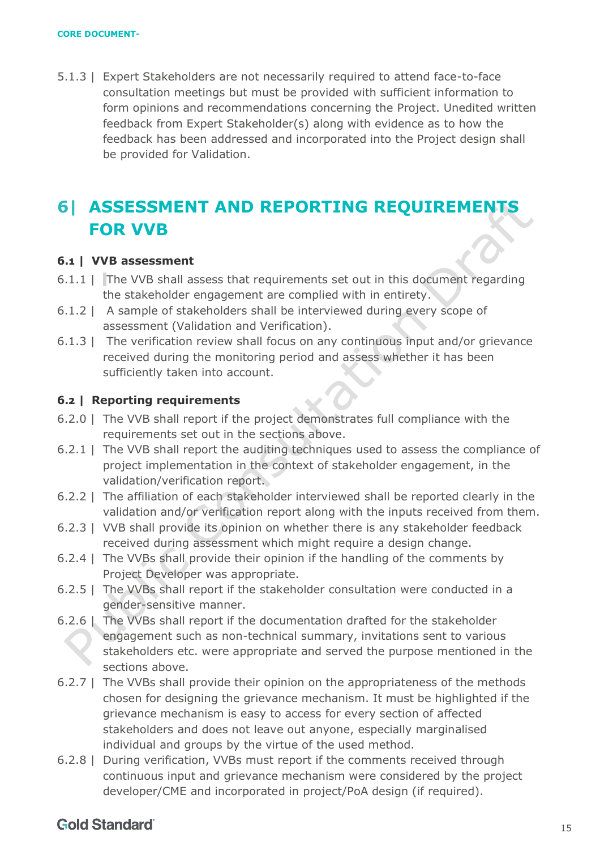5.1.3 | Expert Stakeholders are not necessarily required to attend face-to-face consultation meetings but must be provided with sufficient information to form opinions and recommendations concerning the Project. Unedited written feedback from Expert Stakeholder(s) along with evidence as to how the feedback has been addressed and incorporated into the Project design shall be provided for Validation.

# <span id="page-14-0"></span>**6| ASSESSMENT AND REPORTING REQUIREMENTS FOR VVB**

## <span id="page-14-1"></span>**6.1 | VVB assessment**

- 6.1.1 | The VVB shall assess that requirements set out in this document regarding the stakeholder engagement are complied with in entirety.
- 6.1.2 | A sample of stakeholders shall be interviewed during every scope of assessment (Validation and Verification).
- 6.1.3 | The verification review shall focus on any continuous input and/or grievance received during the monitoring period and assess whether it has been sufficiently taken into account.

## <span id="page-14-2"></span>**6.2 | Reporting requirements**

- 6.2.0 | The VVB shall report if the project demonstrates full compliance with the requirements set out in the sections above.
- 6.2.1 | The VVB shall report the auditing techniques used to assess the compliance of project implementation in the context of stakeholder engagement, in the validation/verification report.
- 6.2.2 | The affiliation of each stakeholder interviewed shall be reported clearly in the validation and/or verification report along with the inputs received from them.
- 6.2.3 | VVB shall provide its opinion on whether there is any stakeholder feedback received during assessment which might require a design change.
- 6.2.4 | The VVBs shall provide their opinion if the handling of the comments by Project Developer was appropriate.
- 6.2.5 | The VVBs shall report if the stakeholder consultation were conducted in a gender-sensitive manner.
- 6.2.6 | The VVBs shall report if the documentation drafted for the stakeholder engagement such as non-technical summary, invitations sent to various stakeholders etc. were appropriate and served the purpose mentioned in the sections above.
- 6.2.7 | The VVBs shall provide their opinion on the appropriateness of the methods chosen for designing the grievance mechanism. It must be highlighted if the grievance mechanism is easy to access for every section of affected stakeholders and does not leave out anyone, especially marginalised individual and groups by the virtue of the used method.
- 6.2.8 | During verification, VVBs must report if the comments received through continuous input and grievance mechanism were considered by the project developer/CME and incorporated in project/PoA design (if required).